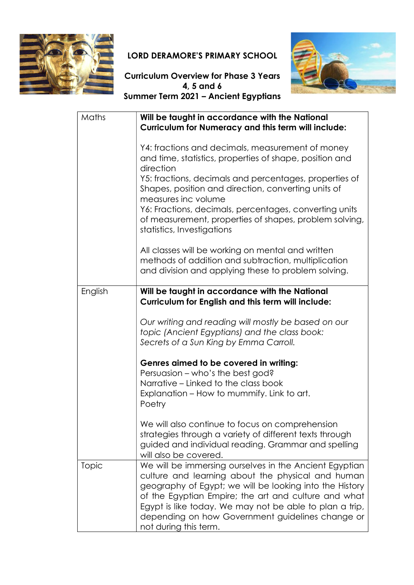

## LORD DERAMORE'S PRIMARY SCHOOL



## Curriculum Overview for Phase 3 Years 4, 5 and 6 Summer Term 2021 – Ancient Egyptians

| Maths        | Will be taught in accordance with the National<br><b>Curriculum for Numeracy and this term will include:</b>                                                                                 |
|--------------|----------------------------------------------------------------------------------------------------------------------------------------------------------------------------------------------|
|              | Y4: fractions and decimals, measurement of money<br>and time, statistics, properties of shape, position and<br>direction                                                                     |
|              | Y5: fractions, decimals and percentages, properties of<br>Shapes, position and direction, converting units of<br>measures inc volume                                                         |
|              | Y6: Fractions, decimals, percentages, converting units<br>of measurement, properties of shapes, problem solving,<br>statistics, Investigations                                               |
|              | All classes will be working on mental and written<br>methods of addition and subtraction, multiplication<br>and division and applying these to problem solving.                              |
| English      | Will be taught in accordance with the National<br>Curriculum for English and this term will include:                                                                                         |
|              | Our writing and reading will mostly be based on our<br>topic (Ancient Egyptians) and the class book:<br>Secrets of a Sun King by Emma Carroll.                                               |
|              | Genres aimed to be covered in writing:<br>Persuasion - who's the best god?                                                                                                                   |
|              | Narrative – Linked to the class book<br>Explanation – How to mummify. Link to art.<br>Poetry                                                                                                 |
|              | We will also continue to focus on comprehension<br>strategies through a variety of different texts through<br>guided and individual reading. Grammar and spelling<br>will also be covered.   |
| <b>Topic</b> | We will be immersing ourselves in the Ancient Egyptian<br>culture and learning about the physical and human<br>geography of Egypt; we will be looking into the History                       |
|              | of the Egyptian Empire; the art and culture and what<br>Egypt is like today. We may not be able to plan a trip,<br>depending on how Government guidelines change or<br>not during this term. |